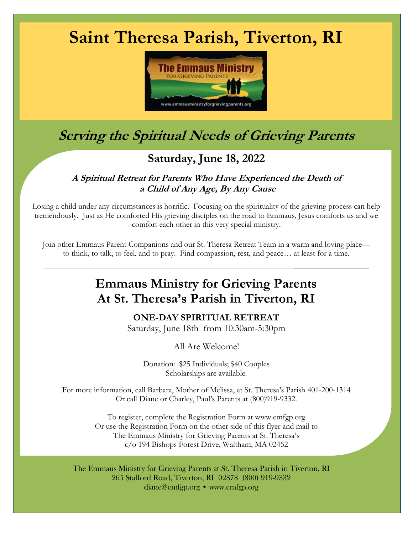# **Saint Theresa Parish, Tiverton, RI**



## **Serving the Spiritual Needs of Grieving Parents**

### **Saturday, June 18, 2022**

#### **A Spiritual Retreat for Parents Who Have Experienced the Death of <sup>a</sup> Child of Any Age, By Any Cause**

Losing a child under any circumstances is horrific. Focusing on the spirituality of the grieving process can help tremendously. Just as He comforted His grieving disciples on the road to Emmaus, Jesus comforts us and we comfort each other in this very special ministry.

Join other Emmaus Parent Companions and our St. Theresa Retreat Team in a warm and loving place to think, to talk, to feel, and to pray. Find compassion, rest, and peace… at least for a time.

 $\overline{\phantom{a}}$  ,  $\overline{\phantom{a}}$  ,  $\overline{\phantom{a}}$  ,  $\overline{\phantom{a}}$  ,  $\overline{\phantom{a}}$  ,  $\overline{\phantom{a}}$  ,  $\overline{\phantom{a}}$  ,  $\overline{\phantom{a}}$  ,  $\overline{\phantom{a}}$  ,  $\overline{\phantom{a}}$  ,  $\overline{\phantom{a}}$  ,  $\overline{\phantom{a}}$  ,  $\overline{\phantom{a}}$  ,  $\overline{\phantom{a}}$  ,  $\overline{\phantom{a}}$  ,  $\overline{\phantom{a}}$ 

### **Emmaus Ministry for Grieving Parents At St. Theresa's Parish in Tiverton, RI**

**ONE-DAY SPIRITUAL RETREAT**

Saturday, June 18th from 10:30am-5:30pm

All Are Welcome!

Donation: \$25 Individuals; \$40 Couples Scholarships are available.

For more information, call Barbara, Mother of Melissa, at St. Theresa's Parish 401-200-1314 Or call Diane or Charley, Paul's Parents at (800)919-9332.

> To register, complete the Registration Form at www.emfgp.org Or use the Registration Form on the other side of this flyer and mail to The Emmaus Ministry for Grieving Parents at St. Theresa's c/o 194 Bishops Forest Drive, Waltham, MA 02452

The Emmaus Ministry for Grieving Parents at St. Theresa Parish in Tiverton, RI 265 Stafford Road, Tiverton, RI 02878 (800) 919-9332 diane@emfgp.org • www.emfgp.org